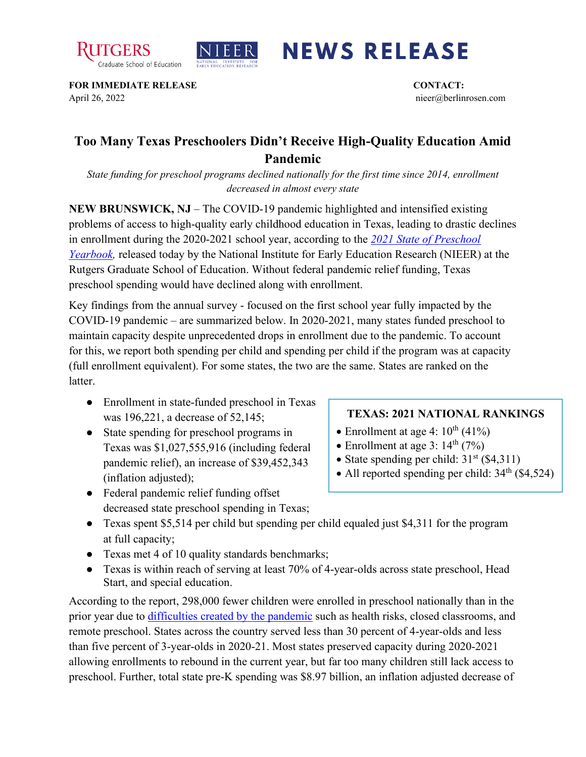



## **NEWS RELEASE**

**FOR IMMEDIATE RELEASE CONTACT:**  April 26, 2022 nieer@berlinrosen.com

## **Too Many Texas Preschoolers Didn't Receive High-Quality Education Amid Pandemic**

*State funding for preschool programs declined nationally for the first time since 2014, enrollment decreased in almost every state*

**NEW BRUNSWICK, NJ** – The COVID-19 pandemic highlighted and intensified existing problems of access to high-quality early childhood education in Texas, leading to drastic declines in enrollment during the 2020-2021 school year, according to the *[2021 State of Preschool](https://nieer.org/state-preschool-yearbooks-yearbook2021)  Yearbook*, released today by the National Institute for Early Education Research (NIEER) at the Rutgers Graduate School of Education. Without federal pandemic relief funding, Texas preschool spending would have declined along with enrollment.

Key findings from the annual survey - focused on the first school year fully impacted by the COVID-19 pandemic – are summarized below. In 2020-2021, many states funded preschool to maintain capacity despite unprecedented drops in enrollment due to the pandemic. To account for this, we report both spending per child and spending per child if the program was at capacity (full enrollment equivalent). For some states, the two are the same. States are ranked on the **latter** 

- Enrollment in state-funded preschool in Texas was 196,221, a decrease of 52,145;
- State spending for preschool programs in Texas was \$1,027,555,916 (including federal pandemic relief), an increase of \$39,452,343 (inflation adjusted);
- Federal pandemic relief funding offset decreased state preschool spending in Texas;

## **TEXAS: 2021 NATIONAL RANKINGS**

- Enrollment at age 4:  $10^{th}$  (41%)
- Enrollment at age 3:  $14^{\text{th}}$  (7%)
- State spending per child:  $31<sup>st</sup>$  (\$4,311)
- All reported spending per child:  $34<sup>th</sup>$  (\$4,524)
- Texas spent \$5,514 per child but spending per child equaled just \$4,311 for the program at full capacity;
- Texas met 4 of 10 quality standards benchmarks;
- Texas is within reach of serving at least 70% of 4-year-olds across state preschool, Head Start, and special education.

According to the report, 298,000 fewer children were enrolled in preschool nationally than in the prior year due to [difficulties created by the pandemic](https://nieer.org/wp-content/uploads/2021/02/NIEER_Seven_Impacts_of_the_Pandemic_on_Young_Children_and_their_Parents.pdf) such as health risks, closed classrooms, and remote preschool. States across the country served less than 30 percent of 4-year-olds and less than five percent of 3-year-olds in 2020-21. Most states preserved capacity during 2020-2021 allowing enrollments to rebound in the current year, but far too many children still lack access to preschool. Further, total state pre-K spending was \$8.97 billion, an inflation adjusted decrease of